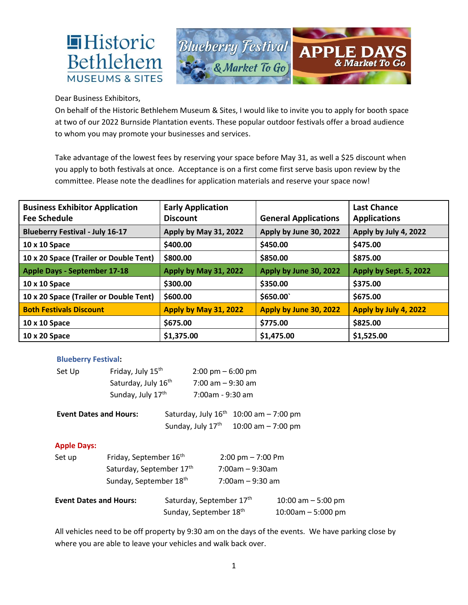

Dear Business Exhibitors,

**Historic** 

On behalf of the Historic Bethlehem Museum & Sites, I would like to invite you to apply for booth space at two of our 2022 Burnside Plantation events. These popular outdoor festivals offer a broad audience to whom you may promote your businesses and services.

Take advantage of the lowest fees by reserving your space before May 31, as well a \$25 discount when you apply to both festivals at once. Acceptance is on a first come first serve basis upon review by the committee. Please note the deadlines for application materials and reserve your space now!

| <b>Business Exhibitor Application</b><br><b>Fee Schedule</b> | <b>Early Application</b><br><b>Discount</b> | <b>General Applications</b> | <b>Last Chance</b><br><b>Applications</b> |
|--------------------------------------------------------------|---------------------------------------------|-----------------------------|-------------------------------------------|
| <b>Blueberry Festival - July 16-17</b>                       | Apply by May 31, 2022                       | Apply by June 30, 2022      | Apply by July 4, 2022                     |
| 10 x 10 Space                                                | \$400.00                                    | \$450.00                    | \$475.00                                  |
| 10 x 20 Space (Trailer or Double Tent)                       | \$800.00                                    | \$850.00                    | \$875.00                                  |
| <b>Apple Days - September 17-18</b>                          | Apply by May 31, 2022                       | Apply by June 30, 2022      | Apply by Sept. 5, 2022                    |
| 10 x 10 Space                                                | \$300.00                                    | \$350.00                    | \$375.00                                  |
| 10 x 20 Space (Trailer or Double Tent)                       | \$600.00                                    | \$650.00                    | \$675.00                                  |
| <b>Both Festivals Discount</b>                               | Apply by May 31, 2022                       | Apply by June 30, 2022      | Apply by July 4, 2022                     |
| 10 x 10 Space                                                | \$675.00                                    | \$775.00                    | \$825.00                                  |
| 10 x 20 Space                                                | \$1,375.00                                  | \$1,475.00                  | \$1,525.00                                |

## **Blueberry Festival:**

| Friday, July 15 <sup>th</sup><br>Set Up                                  |                                                      |                        | $2:00 \text{ pm} - 6:00 \text{ pm}$      |                                     |                     |  |
|--------------------------------------------------------------------------|------------------------------------------------------|------------------------|------------------------------------------|-------------------------------------|---------------------|--|
|                                                                          | Saturday, July 16 <sup>th</sup><br>Sunday, July 17th |                        | $7:00$ am $-9:30$ am<br>7:00am - 9:30 am |                                     |                     |  |
|                                                                          |                                                      |                        |                                          |                                     |                     |  |
| <b>Event Dates and Hours:</b>                                            |                                                      |                        | Saturday, July 16 <sup>th</sup>          | 10:00 am $-7:00$ pm                 |                     |  |
|                                                                          |                                                      |                        | Sunday, July 17th                        | 10:00 am $-7:00$ pm                 |                     |  |
| <b>Apple Days:</b>                                                       |                                                      |                        |                                          |                                     |                     |  |
| Friday, September 16 <sup>th</sup><br>Set up<br>Saturday, September 17th |                                                      |                        |                                          | $2:00 \text{ pm} - 7:00 \text{ pm}$ |                     |  |
|                                                                          |                                                      |                        |                                          | $7:00$ am – 9:30am                  |                     |  |
|                                                                          | Sunday, September 18th                               |                        |                                          | $7:00$ am - 9:30 am                 |                     |  |
| <b>Event Dates and Hours:</b>                                            |                                                      |                        | Saturday, September 17th                 |                                     | 10:00 am $-5:00$ pm |  |
|                                                                          |                                                      | Sunday, September 18th |                                          | $10:00$ am $-5:000$ pm              |                     |  |

All vehicles need to be off property by 9:30 am on the days of the events. We have parking close by where you are able to leave your vehicles and walk back over.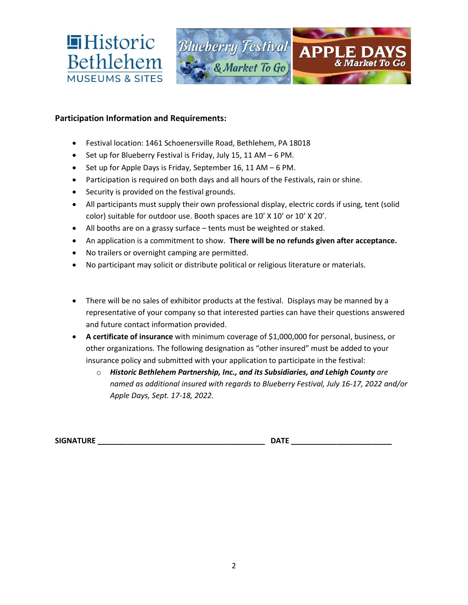

## **Participation Information and Requirements:**

- Festival location: 1461 Schoenersville Road, Bethlehem, PA 18018
- Set up for Blueberry Festival is Friday, July 15, 11 AM 6 PM.
- Set up for Apple Days is Friday, September 16, 11 AM 6 PM.
- Participation is required on both days and all hours of the Festivals, rain or shine.
- Security is provided on the festival grounds.
- All participants must supply their own professional display, electric cords if using, tent (solid color) suitable for outdoor use. Booth spaces are 10' X 10' or 10' X 20'.
- All booths are on a grassy surface tents must be weighted or staked.
- An application is a commitment to show. **There will be no refunds given after acceptance.**
- No trailers or overnight camping are permitted.
- No participant may solicit or distribute political or religious literature or materials.
- There will be no sales of exhibitor products at the festival. Displays may be manned by a representative of your company so that interested parties can have their questions answered and future contact information provided.
- **A certificate of insurance** with minimum coverage of \$1,000,000 for personal, business, or other organizations. The following designation as "other insured" must be added to your insurance policy and submitted with your application to participate in the festival:
	- o *Historic Bethlehem Partnership, Inc., and its Subsidiaries, and Lehigh County are named as additional insured with regards to Blueberry Festival, July 16-17, 2022 and/or Apple Days, Sept. 17-18, 2022.*

**SIGNATURE \_\_\_\_\_\_\_\_\_\_\_\_\_\_\_\_\_\_\_\_\_\_\_\_\_\_\_\_\_\_\_\_\_\_\_\_\_\_\_\_ DATE \_\_\_\_\_\_\_\_\_\_\_\_\_\_\_\_\_\_\_\_\_\_\_\_**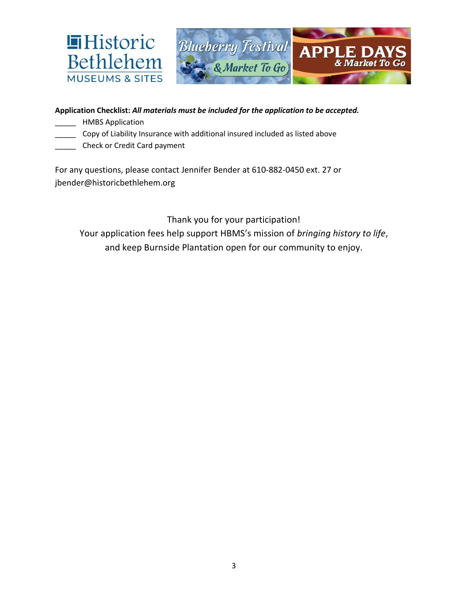

## **Application Checklist:** *All materials must be included for the application to be accepted.*

- \_\_\_\_\_ HMBS Application
- Copy of Liability Insurance with additional insured included as listed above
- \_\_\_\_\_ Check or Credit Card payment

For any questions, please contact Jennifer Bender at 610-882-0450 ext. 27 or jbender@historicbethlehem.org

Thank you for your participation! Your application fees help support HBMS's mission of *bringing history to life*, and keep Burnside Plantation open for our community to enjoy.